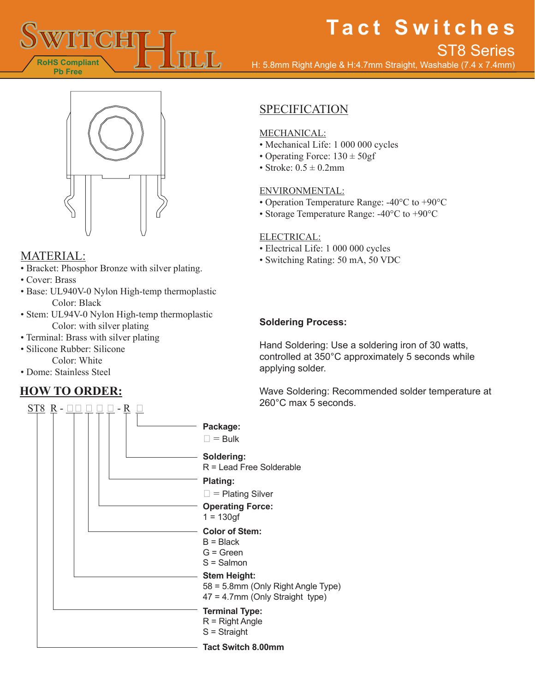

# **Tact Switches**

ST8 Series

H: 5.8mm Right Angle & H:4.7mm Straight, Washable (7.4 x 7.4mm)



- Electrical Life: 1 000 000 cycles<br>• Switching Rating: 50 mA, 50 VDC<br>• Switching Rating: 50 mA, 50 VDC
- Cover: Brass
- Base: UL940V-0 Nylon High-temp thermoplastic Color: Black
- Stem: UL94V-0 Nylon High-temp thermoplastic Color: with silver plating
- Terminal: Brass with silver plating
- Silicone Rubber: Silicone Color: White
- Dome: Stainless Steel

## **HOW TO ORDER:**



### **SPECIFICATION**

#### MECHANICAL:

- Mechanical Life: 1 000 000 cycles
- Operating Force:  $130 \pm 50$ gf
- Stroke:  $0.5 \pm 0.2$ mm

#### ENVIRONMENTAL:

- Operation Temperature Range: -40°C to +90°C
- Storage Temperature Range: -40°C to +90°C

#### ELECTRICAL:

- 
- 

### **Soldering Process:**

Hand Soldering: Use a soldering iron of 30 watts, controlled at 350°C approximately 5 seconds while applying solder.

Wave Soldering: Recommended solder temperature at 260°C max 5 seconds.